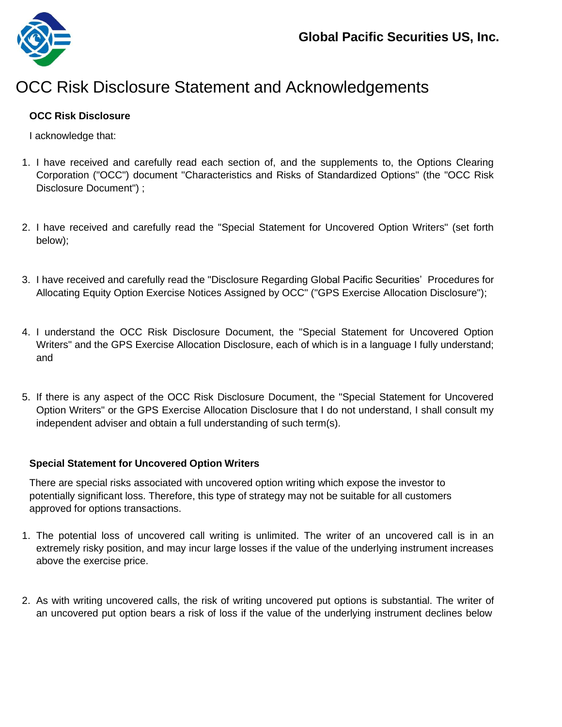

## OCC Risk Disclosure Statement and Acknowledgements

## **OCC Risk Disclosure**

I acknowledge that:

- 1. I have received and carefully read each section of, and the supplements to, the Options Clearing Corporation ("OCC") document ["Characteristics and Risks of Standardized](https://www.theocc.com/Company-Information/Documents-and-Archives/Options-Disclosure-Document) [Options"](https://www.theocc.com/Company-Information/Documents-and-Archives/Options-Disclosure-Document) (the "OCC Risk Disclosure Document") ;
- 2. I have received and carefully read the "Special Statement for Uncovered Option Writers" (set forth below);
- 3. I have received and carefully read the ["Disclosure](https://gdcdyn.interactivebrokers.com/Universal/servlet/Registration_v2.formSampleView?formdb=3354) [Regarding](https://gdcdyn.interactivebrokers.com/Universal/servlet/Registration_v2.formSampleView?formdb=3354) Global Pacific Securities' [Procedures](https://gdcdyn.interactivebrokers.com/Universal/servlet/Registration_v2.formSampleView?formdb=3354) [for](https://gdcdyn.interactivebrokers.com/Universal/servlet/Registration_v2.formSampleView?formdb=3354) [Allocating](https://gdcdyn.interactivebrokers.com/Universal/servlet/Registration_v2.formSampleView?formdb=3354) [Equity](https://gdcdyn.interactivebrokers.com/Universal/servlet/Registration_v2.formSampleView?formdb=3354) [Option](https://gdcdyn.interactivebrokers.com/Universal/servlet/Registration_v2.formSampleView?formdb=3354) [Exercise](https://gdcdyn.interactivebrokers.com/Universal/servlet/Registration_v2.formSampleView?formdb=3354) [Notices](https://gdcdyn.interactivebrokers.com/Universal/servlet/Registration_v2.formSampleView?formdb=3354) [Assigned](https://gdcdyn.interactivebrokers.com/Universal/servlet/Registration_v2.formSampleView?formdb=3354) [by](https://gdcdyn.interactivebrokers.com/Universal/servlet/Registration_v2.formSampleView?formdb=3354) OCC" [\("GPS](https://gdcdyn.interactivebrokers.com/Universal/servlet/Registration_v2.formSampleView?formdb=3354) [Exercise](https://gdcdyn.interactivebrokers.com/Universal/servlet/Registration_v2.formSampleView?formdb=3354) [Allocation](https://gdcdyn.interactivebrokers.com/Universal/servlet/Registration_v2.formSampleView?formdb=3354) [Disclosure"](https://gdcdyn.interactivebrokers.com/Universal/servlet/Registration_v2.formSampleView?formdb=3354));
- 4. I understand the OCC Risk Disclosure Document, the "Special Statement for Uncovered Option Writers" and the GPS Exercise Allocation Disclosure, each of which is in a language I fully understand; and
- 5. If there is any aspect of the OCC Risk Disclosure Document, the "Special Statement for Uncovered Option Writers" or the GPS Exercise Allocation Disclosure that I do not understand, I shall consult my independent adviser and obtain a full understanding of such term(s).

## **Special Statement for Uncovered Option Writers**

There are special risks associated with uncovered option writing which expose the investor to potentially significant loss. Therefore, this type of strategy may not be suitable for all customers approved for options transactions.

- 1. The potential loss of uncovered call writing is unlimited. The writer of an uncovered call is in an extremely risky position, and may incur large losses if the value of the underlying instrument increases above the exercise price.
- 2. As with writing uncovered calls, the risk of writing uncovered put options is substantial. The writer of an uncovered put option bears a risk of loss if the value of the underlying instrument declines below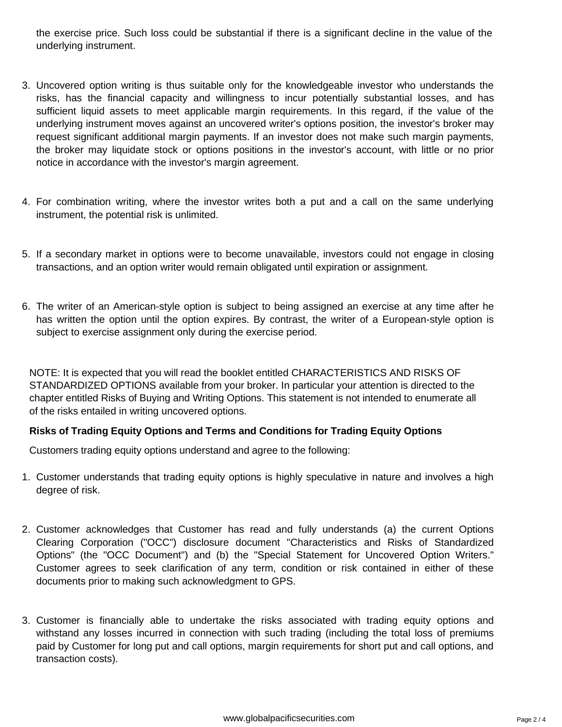the exercise price. Such loss could be substantial if there is a significant decline in the value of the underlying instrument.

- 3. Uncovered option writing is thus suitable only for the knowledgeable investor who understands the risks, has the financial capacity and willingness to incur potentially substantial losses, and has sufficient liquid assets to meet applicable margin requirements. In this regard, if the value of the underlying instrument moves against an uncovered writer's options position, the investor's broker may request significant additional margin payments. If an investor does not make such margin payments, the broker may liquidate stock or options positions in the investor's account, with little or no prior notice in accordance with the investor's margin agreement.
- 4. For combination writing, where the investor writes both a put and a call on the same underlying instrument, the potential risk is unlimited.
- 5. If a secondary market in options were to become unavailable, investors could not engage in closing transactions, and an option writer would remain obligated until expiration or assignment.
- 6. The writer of an American-style option is subject to being assigned an exercise at any time after he has written the option until the option expires. By contrast, the writer of a European-style option is subject to exercise assignment only during the exercise period.

NOTE: It is expected that you will read the booklet entitled CHARACTERISTICS AND RISKS OF STANDARDIZED OPTIONS available from your broker. In particular your attention is directed to the chapter entitled Risks of Buying and Writing Options. This statement is not intended to enumerate all of the risks entailed in writing uncovered options.

## **Risks of Trading Equity Options and Terms and Conditions for Trading Equity Options**

Customers trading equity options understand and agree to the following:

- 1. Customer understands that trading equity options is highly speculative in nature and involves a high degree of risk.
- 2. Customer acknowledges that Customer has read and fully understands (a) the current Options Clearing Corporation ("OCC") disclosure document "Characteristics and Risks of Standardized Options" (the "OCC Document") and (b) the "Special Statement for Uncovered Option Writers." Customer agrees to seek clarification of any term, condition or risk contained in either of these documents prior to making such acknowledgment to GPS.
- 3. Customer is financially able to undertake the risks associated with trading equity options and withstand any losses incurred in connection with such trading (including the total loss of premiums paid by Customer for long put and call options, margin requirements for short put and call options, and transaction costs).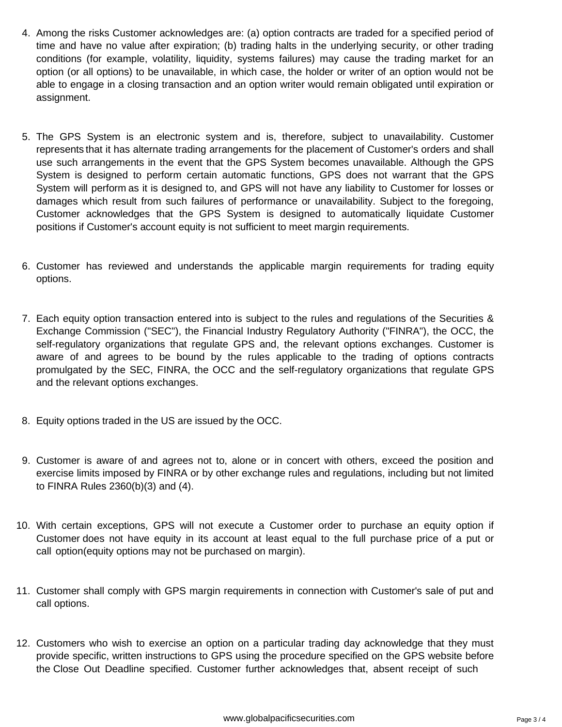- 4. Among the risks Customer acknowledges are: (a) option contracts are traded for a specified period of time and have no value after expiration; (b) trading halts in the underlying security, or other trading conditions (for example, volatility, liquidity, systems failures) may cause the trading market for an option (or all options) to be unavailable, in which case, the holder or writer of an option would not be able to engage in a closing transaction and an option writer would remain obligated until expiration or assignment.
- 5. The GPS System is an electronic system and is, therefore, subject to unavailability. Customer represents that it has alternate trading arrangements for the placement of Customer's orders and shall use such arrangements in the event that the GPS System becomes unavailable. Although the GPS System is designed to perform certain automatic functions, GPS does not warrant that the GPS System will perform as it is designed to, and GPS will not have any liability to Customer for losses or damages which result from such failures of performance or unavailability. Subject to the foregoing, Customer acknowledges that the GPS System is designed to automatically liquidate Customer positions if Customer's account equity is not sufficient to meet margin requirements.
- 6. Customer has reviewed and understands the applicable margin requirements for trading equity options.
- 7. Each equity option transaction entered into is subject to the rules and regulations of the Securities & Exchange Commission ("SEC"), the Financial Industry Regulatory Authority ("FINRA"), the OCC, the self-regulatory organizations that regulate GPS and, the relevant options exchanges. Customer is aware of and agrees to be bound by the rules applicable to the trading of options contracts promulgated by the SEC, FINRA, the OCC and the self-regulatory organizations that regulate GPS and the relevant options exchanges.
- 8. Equity options traded in the US are issued by the OCC.
- 9. Customer is aware of and agrees not to, alone or in concert with others, exceed the position and exercise limits imposed by FINRA or by other exchange rules and regulations, including but not limited to FINRA Rules 2360(b)(3) and (4).
- 10. With certain exceptions, GPS will not execute a Customer order to purchase an equity option if Customer does not have equity in its account at least equal to the full purchase price of a put or call option(equity options may not be purchased on margin).
- 11. Customer shall comply with GPS margin requirements in connection with Customer's sale of put and call options.
- 12. Customers who wish to exercise an option on a particular trading day acknowledge that they must provide specific, written instructions to GPS using the procedure specified on the GPS website before the Close Out Deadline specified. Customer further acknowledges that, absent receipt of such